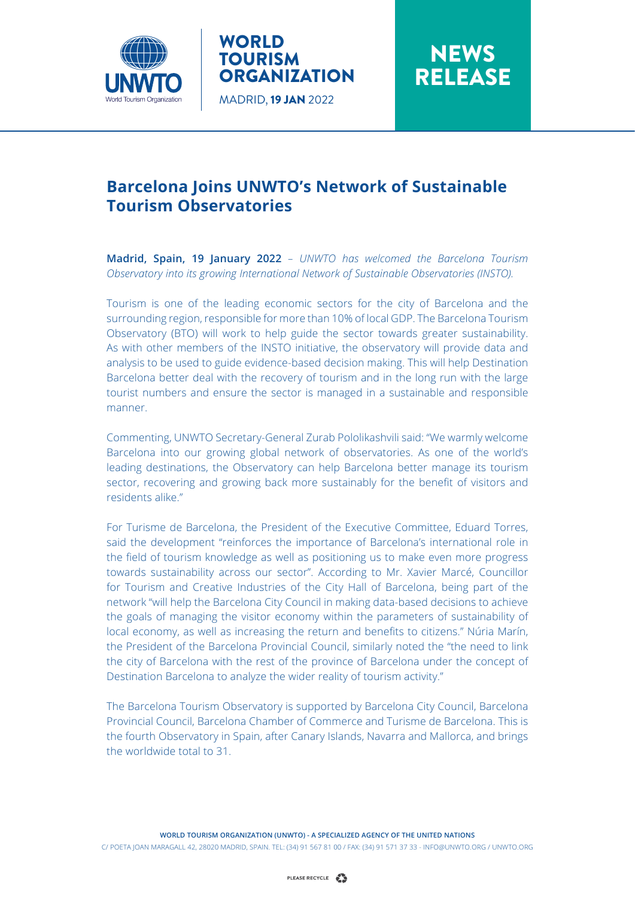

## WORLD **TOURISM ORGANIZATION** MADRID, 19 JAN 2022

**NEWS** RELEASE

## **Barcelona Joins UNWTO's Network of Sustainable Tourism Observatories**

**Madrid, Spain, 19 January 2022** *– UNWTO has welcomed the Barcelona Tourism Observatory into its growing International Network of Sustainable Observatories (INSTO).* 

Tourism is one of the leading economic sectors for the city of Barcelona and the surrounding region, responsible for more than 10% of local GDP. The Barcelona Tourism Observatory (BTO) will work to help guide the sector towards greater sustainability. As with other members of the INSTO initiative, the observatory will provide data and analysis to be used to guide evidence-based decision making. This will help Destination Barcelona better deal with the recovery of tourism and in the long run with the large tourist numbers and ensure the sector is managed in a sustainable and responsible manner.

Commenting, UNWTO Secretary-General Zurab Pololikashvili said: "We warmly welcome Barcelona into our growing global network of observatories. As one of the world's leading destinations, the Observatory can help Barcelona better manage its tourism sector, recovering and growing back more sustainably for the benefit of visitors and residents alike."

For Turisme de Barcelona, the President of the Executive Committee, Eduard Torres, said the development "reinforces the importance of Barcelona's international role in the field of tourism knowledge as well as positioning us to make even more progress towards sustainability across our sector". According to Mr. Xavier Marcé, Councillor for Tourism and Creative Industries of the City Hall of Barcelona, being part of the network "will help the Barcelona City Council in making data-based decisions to achieve the goals of managing the visitor economy within the parameters of sustainability of local economy, as well as increasing the return and benefits to citizens." Núria Marín, the President of the Barcelona Provincial Council, similarly noted the "the need to link the city of Barcelona with the rest of the province of Barcelona under the concept of Destination Barcelona to analyze the wider reality of tourism activity."

The Barcelona Tourism Observatory is supported by Barcelona City Council, Barcelona Provincial Council, Barcelona Chamber of Commerce and Turisme de Barcelona. This is the fourth Observatory in Spain, after Canary Islands, Navarra and Mallorca, and brings the worldwide total to 31.